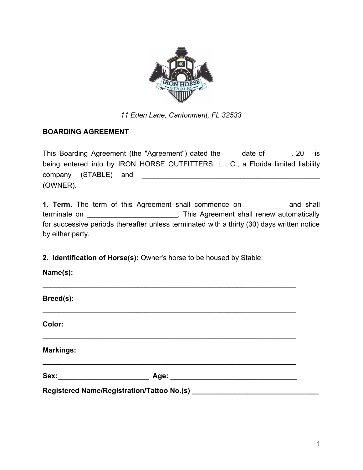

*11 Eden Lane, Cantonment, FL 32533*

## **BOARDING AGREEMENT**

This Boarding Agreement (the "Agreement") dated the \_\_\_\_ date of \_\_\_\_\_, 20\_ is being entered into by IRON HORSE OUTFITTERS, L.L.C., a Florida limited liability company (STABLE) and **Example 20** (OWNER).

**1. Term.** The term of this Agreement shall commence on and shall terminate on \_\_\_\_\_\_\_\_\_\_\_\_\_\_\_\_\_\_\_\_\_\_\_\_\_\_\_\_. This Agreement shall renew automatically for successive periods thereafter unless terminated with a thirty (30) days written notice by either party.

**2. Identification of Horse(s):** Owner's horse to be housed by Stable:

**Name(s):**

| Breed(s):        |  |  |  |  |
|------------------|--|--|--|--|
| Color:           |  |  |  |  |
| <b>Markings:</b> |  |  |  |  |
|                  |  |  |  |  |
|                  |  |  |  |  |

**\_\_\_\_\_\_\_\_\_\_\_\_\_\_\_\_\_\_\_\_\_\_\_\_\_\_\_\_\_\_\_\_\_\_\_\_\_\_\_\_\_\_\_\_\_\_\_\_\_\_\_\_\_\_\_\_\_\_\_\_\_\_\_\_**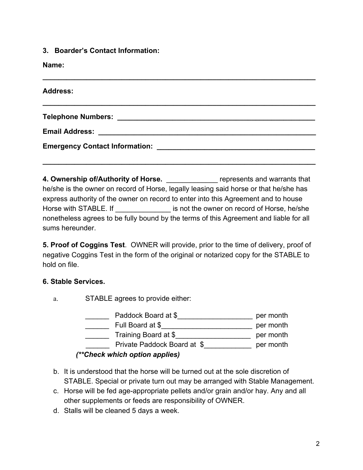**3. Boarder's Contact Information:**

**Name:**

| <b>Address:</b> |  |  |
|-----------------|--|--|
|                 |  |  |
|                 |  |  |
|                 |  |  |

**4. Ownership of/Authority of Horse.** The represents and warrants that he/she is the owner on record of Horse, legally leasing said horse or that he/she has express authority of the owner on record to enter into this Agreement and to house Horse with STABLE. If **Example 20** is not the owner on record of Horse, he/she nonetheless agrees to be fully bound by the terms of this Agreement and liable for all sums hereunder.

**5. Proof of Coggins Test**. OWNER will provide, prior to the time of delivery, proof of negative Coggins Test in the form of the original or notarized copy for the STABLE to hold on file.

## **6. Stable Services.**

a. STABLE agrees to provide either:

| Paddock Board at \$            | per month |
|--------------------------------|-----------|
| Full Board at \$               | per month |
| Training Board at \$           | per month |
| Private Paddock Board at \$    | per month |
| (**Check which option applies) |           |

- b. It is understood that the horse will be turned out at the sole discretion of STABLE. Special or private turn out may be arranged with Stable Management.
- c. Horse will be fed age-appropriate pellets and/or grain and/or hay. Any and all other supplements or feeds are responsibility of OWNER.
- d. Stalls will be cleaned 5 days a week.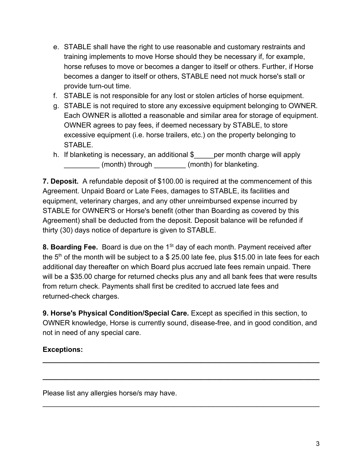- e. STABLE shall have the right to use reasonable and customary restraints and training implements to move Horse should they be necessary if, for example, horse refuses to move or becomes a danger to itself or others. Further, if Horse becomes a danger to itself or others, STABLE need not muck horse's stall or provide turn-out time.
- f. STABLE is not responsible for any lost or stolen articles of horse equipment.
- g. STABLE is not required to store any excessive equipment belonging to OWNER. Each OWNER is allotted a reasonable and similar area for storage of equipment. OWNER agrees to pay fees, if deemed necessary by STABLE, to store excessive equipment (i.e. horse trailers, etc.) on the property belonging to STABLE.
- h. If blanketing is necessary, an additional \$\_\_\_\_\_per month charge will apply (month) through  $(month)$  for blanketing.

**7. Deposit.** A refundable deposit of \$100.00 is required at the commencement of this Agreement. Unpaid Board or Late Fees, damages to STABLE, its facilities and equipment, veterinary charges, and any other unreimbursed expense incurred by STABLE for OWNER'S or Horse's benefit (other than Boarding as covered by this Agreement) shall be deducted from the deposit. Deposit balance will be refunded if thirty (30) days notice of departure is given to STABLE.

8. Boarding Fee. Board is due on the 1<sup>st</sup> day of each month. Payment received after the 5<sup>th</sup> of the month will be subject to a \$ 25.00 late fee, plus \$15.00 in late fees for each additional day thereafter on which Board plus accrued late fees remain unpaid. There will be a \$35.00 charge for returned checks plus any and all bank fees that were results from return check. Payments shall first be credited to accrued late fees and returned-check charges.

**9. Horse's Physical Condition/Special Care.** Except as specified in this section, to OWNER knowledge, Horse is currently sound, disease-free, and in good condition, and not in need of any special care.

**\_\_\_\_\_\_\_\_\_\_\_\_\_\_\_\_\_\_\_\_\_\_\_\_\_\_\_\_\_\_\_\_\_\_\_\_\_\_\_\_\_\_\_\_\_\_\_\_\_\_\_\_\_\_\_\_\_\_\_\_\_\_\_\_\_\_\_\_\_\_**

**\_\_\_\_\_\_\_\_\_\_\_\_\_\_\_\_\_\_\_\_\_\_\_\_\_\_\_\_\_\_\_\_\_\_\_\_\_\_\_\_\_\_\_\_\_\_\_\_\_\_\_\_\_\_\_\_\_\_\_\_\_\_\_\_\_\_\_\_\_\_**

\_\_\_\_\_\_\_\_\_\_\_\_\_\_\_\_\_\_\_\_\_\_\_\_\_\_\_\_\_\_\_\_\_\_\_\_\_\_\_\_\_\_\_\_\_\_\_\_\_\_\_\_\_\_\_\_\_\_\_\_\_\_\_\_\_\_\_\_\_\_

## **Exceptions:**

Please list any allergies horse/s may have.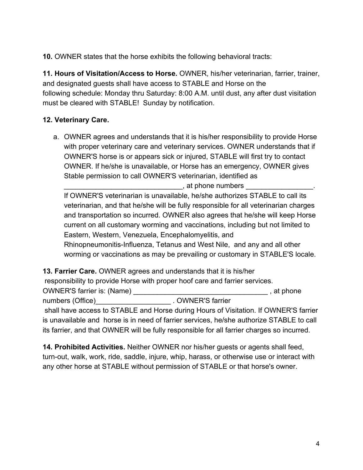**10.** OWNER states that the horse exhibits the following behavioral tracts:

**11. Hours of Visitation/Access to Horse.** OWNER, his/her veterinarian, farrier, trainer, and designated guests shall have access to STABLE and Horse on the following schedule: Monday thru Saturday: 8:00 A.M. until dust, any after dust visitation must be cleared with STABLE! Sunday by notification.

# **12. Veterinary Care.**

a. OWNER agrees and understands that it is his/her responsibility to provide Horse with proper veterinary care and veterinary services. OWNER understands that if OWNER'S horse is or appears sick or injured, STABLE will first try to contact OWNER. If he/she is unavailable, or Horse has an emergency, OWNER gives Stable permission to call OWNER'S veterinarian, identified as

, at phone numbers

If OWNER'S veterinarian is unavailable, he/she authorizes STABLE to call its veterinarian, and that he/she will be fully responsible for all veterinarian charges and transportation so incurred. OWNER also agrees that he/she will keep Horse current on all customary worming and vaccinations, including but not limited to Eastern, Western, Venezuela, Encephalomyelitis, and Rhinopneumonitis-Influenza, Tetanus and West Nile, and any and all other worming or vaccinations as may be prevailing or customary in STABLE'S locale.

**13. Farrier Care.** OWNER agrees and understands that it is his/her responsibility to provide Horse with proper hoof care and farrier services. OWNER'S farrier is: (Name) \_\_\_\_\_\_\_\_\_\_\_\_\_\_\_\_\_\_\_\_\_\_\_\_\_\_\_\_\_\_\_\_\_\_ , at phone numbers (Office) example 20 and 20 and 20 and 20 and 20 and 20 and 20 and 20 and 20 and 20 and 20 and 20 and 2 shall have access to STABLE and Horse during Hours of Visitation. If OWNER'S farrier is unavailable and horse is in need of farrier services, he/she authorize STABLE to call its farrier, and that OWNER will be fully responsible for all farrier charges so incurred.

**14. Prohibited Activities.** Neither OWNER nor his/her guests or agents shall feed, turn-out, walk, work, ride, saddle, injure, whip, harass, or otherwise use or interact with any other horse at STABLE without permission of STABLE or that horse's owner.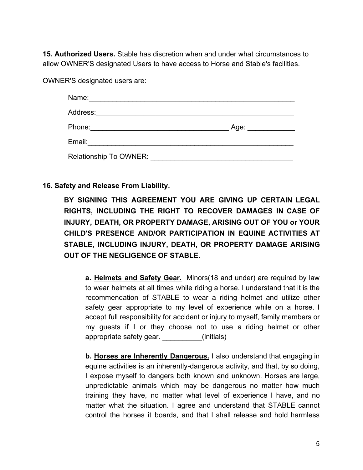**15. Authorized Users.** Stable has discretion when and under what circumstances to allow OWNER'S designated Users to have access to Horse and Stable's facilities.

OWNER'S designated users are:

| Name:                  |      |
|------------------------|------|
| Address:               |      |
| Phone:                 | Age: |
| Email:                 |      |
| Relationship To OWNER: |      |

### **16. Safety and Release From Liability.**

**BY SIGNING THIS AGREEMENT YOU ARE GIVING UP CERTAIN LEGAL RIGHTS, INCLUDING THE RIGHT TO RECOVER DAMAGES IN CASE OF INJURY, DEATH, OR PROPERTY DAMAGE, ARISING OUT OF YOU or YOUR CHILD'S PRESENCE AND/OR PARTICIPATION IN EQUINE ACTIVITIES AT STABLE, INCLUDING INJURY, DEATH, OR PROPERTY DAMAGE ARISING OUT OF THE NEGLIGENCE OF STABLE.**

**a. Helmets and Safety Gear.** Minors(18 and under) are required by law to wear helmets at all times while riding a horse. I understand that it is the recommendation of STABLE to wear a riding helmet and utilize other safety gear appropriate to my level of experience while on a horse. I accept full responsibility for accident or injury to myself, family members or my guests if I or they choose not to use a riding helmet or other appropriate safety gear. **Example 20** (initials)

**b. Horses are Inherently Dangerous.** I also understand that engaging in equine activities is an inherently-dangerous activity, and that, by so doing, I expose myself to dangers both known and unknown. Horses are large, unpredictable animals which may be dangerous no matter how much training they have, no matter what level of experience I have, and no matter what the situation. I agree and understand that STABLE cannot control the horses it boards, and that I shall release and hold harmless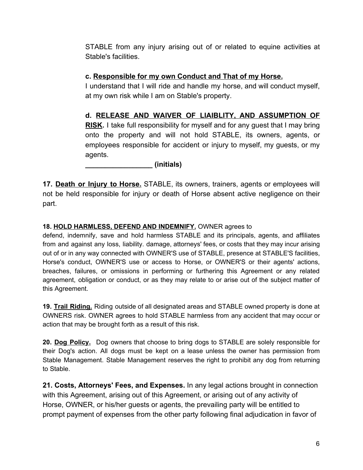STABLE from any injury arising out of or related to equine activities at Stable's facilities.

## **c. Responsible for my own Conduct and That of my Horse.**

I understand that I will ride and handle my horse, and will conduct myself, at my own risk while I am on Stable's property.

## **d. RELEASE AND WAIVER OF LIAIBLITY, AND ASSUMPTION OF**

**RISK.** I take full responsibility for myself and for any guest that I may bring onto the property and will not hold STABLE, its owners, agents, or employees responsible for accident or injury to myself, my guests, or my agents.

**\_\_\_\_\_\_\_\_\_\_\_\_\_\_\_\_\_ (initials)**

**17. Death or Injury to Horse.** STABLE, its owners, trainers, agents or employees will not be held responsible for injury or death of Horse absent active negligence on their part.

### **18. HOLD HARMLESS, DEFEND AND INDEMNIFY.** OWNER agrees to

defend, indemnify, save and hold harmless STABLE and its principals, agents, and affiliates from and against any loss, liability. damage, attorneys' fees, or costs that they may incur arising out of or in any way connected with OWNER'S use of STABLE, presence at STABLE'S facilities, Horse's conduct, OWNER'S use or access to Horse, or OWNER'S or their agents' actions, breaches, failures, or omissions in performing or furthering this Agreement or any related agreement, obligation or conduct, or as they may relate to or arise out of the subject matter of this Agreement.

**19. Trail Riding.** Riding outside of all designated areas and STABLE owned property is done at OWNERS risk. OWNER agrees to hold STABLE harmless from any accident that may occur or action that may be brought forth as a result of this risk.

**20. Dog Policy.** Dog owners that choose to bring dogs to STABLE are solely responsible for their Dog's action. All dogs must be kept on a lease unless the owner has permission from Stable Management. Stable Management reserves the right to prohibit any dog from returning to Stable.

**21. Costs, Attorneys' Fees, and Expenses.** In any legal actions brought in connection with this Agreement, arising out of this Agreement, or arising out of any activity of Horse, OWNER, or his/her guests or agents, the prevailing party will be entitled to prompt payment of expenses from the other party following final adjudication in favor of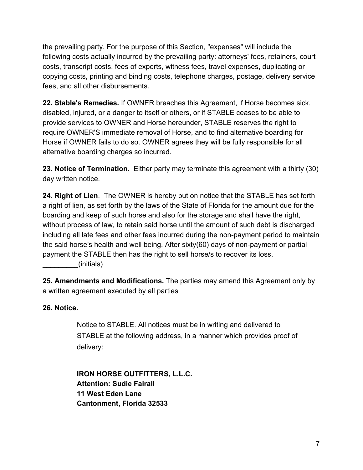the prevailing party. For the purpose of this Section, "expenses" will include the following costs actually incurred by the prevailing party: attorneys' fees, retainers, court costs, transcript costs, fees of experts, witness fees, travel expenses, duplicating or copying costs, printing and binding costs, telephone charges, postage, delivery service fees, and all other disbursements.

**22. Stable's Remedies.** If OWNER breaches this Agreement, if Horse becomes sick, disabled, injured, or a danger to itself or others, or if STABLE ceases to be able to provide services to OWNER and Horse hereunder, STABLE reserves the right to require OWNER'S immediate removal of Horse, and to find alternative boarding for Horse if OWNER fails to do so. OWNER agrees they will be fully responsible for all alternative boarding charges so incurred.

**23. Notice of Termination.** Either party may terminate this agreement with a thirty (30) day written notice.

**24**. **Right of Lien**. The OWNER is hereby put on notice that the STABLE has set forth a right of lien, as set forth by the laws of the State of Florida for the amount due for the boarding and keep of such horse and also for the storage and shall have the right, without process of law, to retain said horse until the amount of such debt is discharged including all late fees and other fees incurred during the non-payment period to maintain the said horse's health and well being. After sixty(60) days of non-payment or partial payment the STABLE then has the right to sell horse/s to recover its loss.

\_\_\_\_\_\_\_\_\_(initials)

**25. Amendments and Modifications.** The parties may amend this Agreement only by a written agreement executed by all parties

### **26. Notice.**

Notice to STABLE. All notices must be in writing and delivered to STABLE at the following address, in a manner which provides proof of delivery:

**IRON HORSE OUTFITTERS, L.L.C. Attention: Sudie Fairall 11 West Eden Lane Cantonment, Florida 32533**